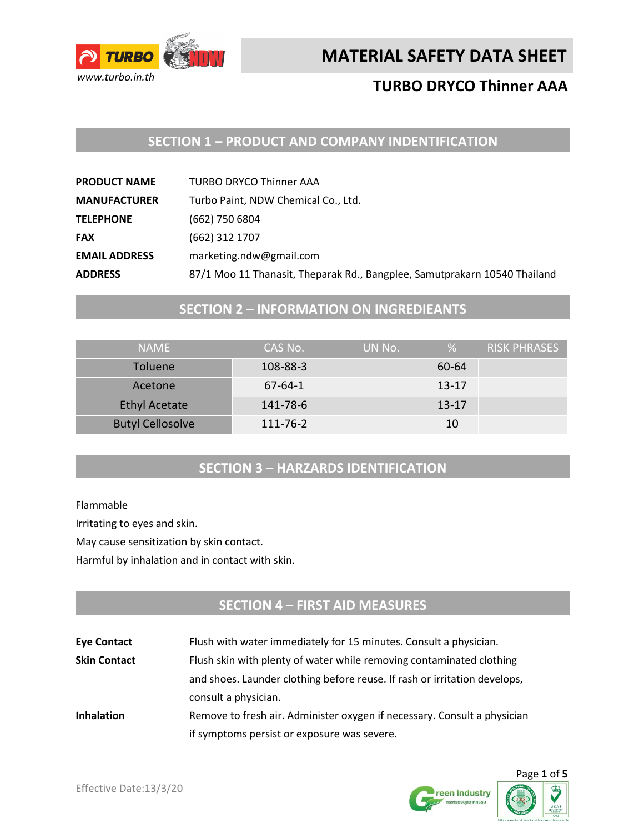

# **TURBO DRYCO Thinner AAA**

# **SECTION 1 – PRODUCT AND COMPANY INDENTIFICATION**

| <b>PRODUCT NAME</b>  | <b>TURBO DRYCO Thinner AAA</b>                                            |
|----------------------|---------------------------------------------------------------------------|
| <b>MANUFACTURER</b>  | Turbo Paint, NDW Chemical Co., Ltd.                                       |
| <b>TELEPHONE</b>     | (662) 750 6804                                                            |
| <b>FAX</b>           | (662) 312 1707                                                            |
| <b>EMAIL ADDRESS</b> | marketing.ndw@gmail.com                                                   |
| <b>ADDRESS</b>       | 87/1 Moo 11 Thanasit, Theparak Rd., Bangplee, Samutprakarn 10540 Thailand |

# **SECTION 2 – INFORMATION ON INGREDIEANTS**

| <b>NAMF</b>             | CAS No.       | UN No. | %         | RISK PHRASES |
|-------------------------|---------------|--------|-----------|--------------|
| <b>Toluene</b>          | 108-88-3      |        | 60-64     |              |
| Acetone                 | $67 - 64 - 1$ |        | $13 - 17$ |              |
| <b>Ethyl Acetate</b>    | 141-78-6      |        | $13 - 17$ |              |
| <b>Butyl Cellosolve</b> | 111-76-2      |        | 10        |              |

# **SECTION 3 – HARZARDS IDENTIFICATION**

Flammable

Irritating to eyes and skin.

May cause sensitization by skin contact.

Harmful by inhalation and in contact with skin.

# **SECTION 4 – FIRST AID MEASURES**

| <b>Eye Contact</b>  | Flush with water immediately for 15 minutes. Consult a physician.         |
|---------------------|---------------------------------------------------------------------------|
| <b>Skin Contact</b> | Flush skin with plenty of water while removing contaminated clothing      |
|                     | and shoes. Launder clothing before reuse. If rash or irritation develops, |
|                     | consult a physician.                                                      |
| <b>Inhalation</b>   | Remove to fresh air. Administer oxygen if necessary. Consult a physician  |
|                     | if symptoms persist or exposure was severe.                               |



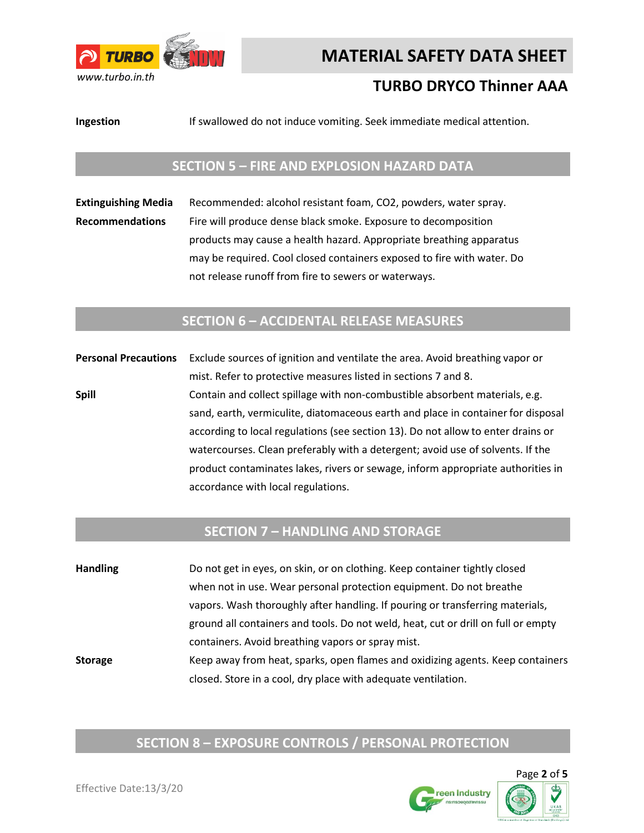

# **TURBO DRYCO Thinner AAA**

**Ingestion** If swallowed do not induce vomiting. Seek immediate medical attention.

#### **SECTION 5 – FIRE AND EXPLOSION HAZARD DATA**

**Extinguishing Media** Recommended: alcohol resistant foam, CO2, powders, water spray. **Recommendations** Fire will produce dense black smoke. Exposure to decomposition products may cause a health hazard. Appropriate breathing apparatus may be required. Cool closed containers exposed to fire with water. Do not release runoff from fire to sewers or waterways.

#### **SECTION 6 – ACCIDENTAL RELEASE MEASURES**

**Personal Precautions** Exclude sources of ignition and ventilate the area. Avoid breathing vapor or mist. Refer to protective measures listed in sections 7 and 8. **Spill Spill** Contain and collect spillage with non-combustible absorbent materials, e.g. sand, earth, vermiculite, diatomaceous earth and place in container for disposal according to local regulations (see section 13). Do not allow to enter drains or watercourses. Clean preferably with a detergent; avoid use of solvents. If the product contaminates lakes, rivers or sewage, inform appropriate authorities in accordance with local regulations.

#### **SECTION 7 – HANDLING AND STORAGE**

**Handling** Do not get in eyes, on skin, or on clothing. Keep container tightly closed when not in use. Wear personal protection equipment. Do not breathe vapors. Wash thoroughly after handling. If pouring or transferring materials, ground all containers and tools. Do not weld, heat, cut or drill on full or empty containers. Avoid breathing vapors or spray mist. **Storage** Keep away from heat, sparks, open flames and oxidizing agents. Keep containers closed. Store in a cool, dry place with adequate ventilation.

# **SECTION 8 – EXPOSURE CONTROLS / PERSONAL PROTECTION**

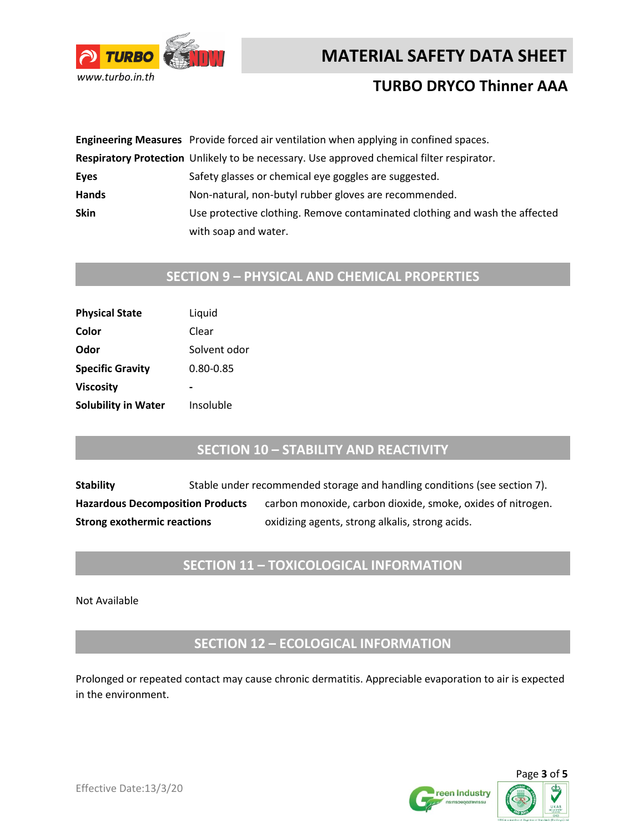



# **TURBO DRYCO Thinner AAA**

|              | Engineering Measures Provide forced air ventilation when applying in confined spaces.     |
|--------------|-------------------------------------------------------------------------------------------|
|              | Respiratory Protection Unlikely to be necessary. Use approved chemical filter respirator. |
| Eyes         | Safety glasses or chemical eye goggles are suggested.                                     |
| <b>Hands</b> | Non-natural, non-butyl rubber gloves are recommended.                                     |
| <b>Skin</b>  | Use protective clothing. Remove contaminated clothing and wash the affected               |
|              | with soap and water.                                                                      |

# **SECTION 9 – PHYSICAL AND CHEMICAL PROPERTIES**

| <b>Physical State</b>      | Liquid       |
|----------------------------|--------------|
| Color                      | Clear        |
| Odor                       | Solvent odor |
| <b>Specific Gravity</b>    | 0.80-0.85    |
| <b>Viscosity</b>           |              |
| <b>Solubility in Water</b> | Insoluble    |

#### **SECTION 10 – STABILITY AND REACTIVITY**

**Stability** Stable under recommended storage and handling conditions (see section 7). Hazardous Decomposition Products carbon monoxide, carbon dioxide, smoke, oxides of nitrogen. **Strong exothermic reactions** oxidizing agents, strong alkalis, strong acids.

### **SECTION 11 – TOXICOLOGICAL INFORMATION**

Not Available

**SECTION 12 – ECOLOGICAL INFORMATION**

Prolonged or repeated contact may cause chronic dermatitis. Appreciable evaporation to air is expected in the environment.



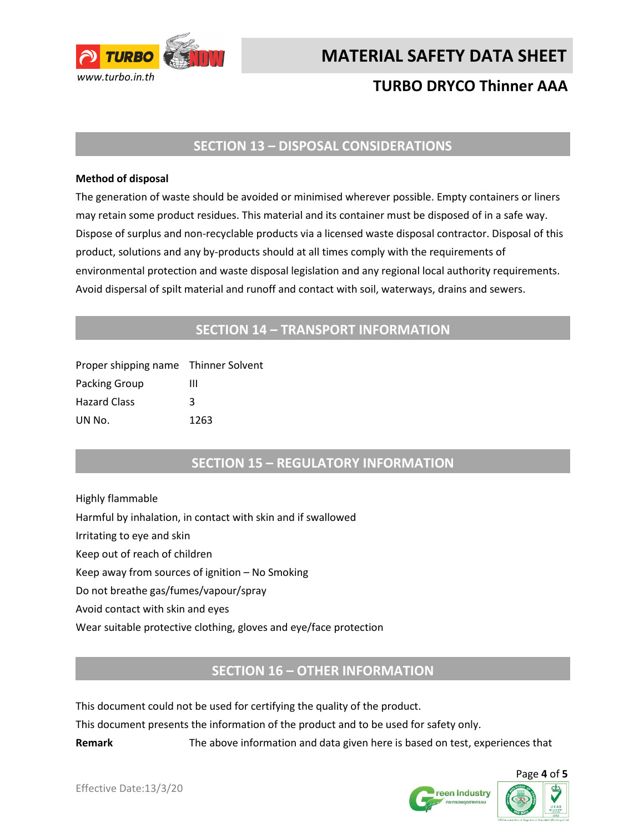

# **TURBO DRYCO Thinner AAA**

#### **SECTION 13 – DISPOSAL CONSIDERATIONS**

#### **Method of disposal**

The generation of waste should be avoided or minimised wherever possible. Empty containers or liners may retain some product residues. This material and its container must be disposed of in a safe way. Dispose of surplus and non-recyclable products via a licensed waste disposal contractor. Disposal of this product, solutions and any by-products should at all times comply with the requirements of environmental protection and waste disposal legislation and any regional local authority requirements. Avoid dispersal of spilt material and runoff and contact with soil, waterways, drains and sewers.

#### **SECTION 14 – TRANSPORT INFORMATION**

| Proper shipping name Thinner Solvent |      |
|--------------------------------------|------|
| Packing Group                        | ш    |
| <b>Hazard Class</b>                  | κ    |
| UN No.                               | 1263 |

#### **SECTION 15 – REGULATORY INFORMATION**

Highly flammable Harmful by inhalation, in contact with skin and if swallowed Irritating to eye and skin Keep out of reach of children Keep away from sources of ignition – No Smoking Do not breathe gas/fumes/vapour/spray Avoid contact with skin and eyes Wear suitable protective clothing, gloves and eye/face protection

#### **SECTION 16 – OTHER INFORMATION**

This document could not be used for certifying the quality of the product.

This document presents the information of the product and to be used for safety only.

**Remark** The above information and data given here is based on test, experiences that